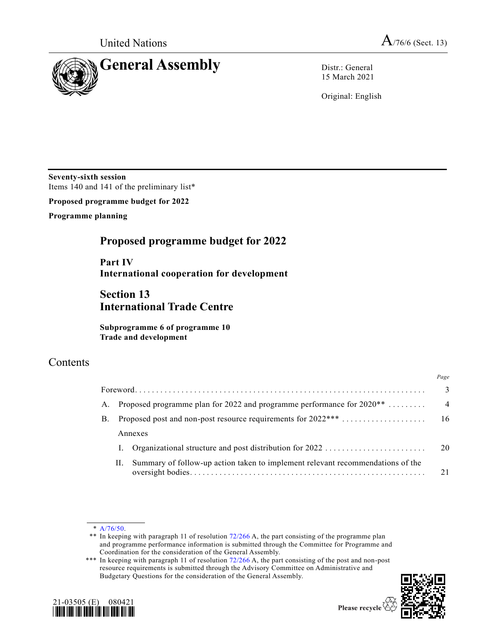

15 March 2021

Original: English

**Seventy-sixth session** Items 140 and 141 of the preliminary list\*

**Proposed programme budget for 2022**

**Programme planning**

# **Proposed programme budget for 2022**

**Part IV International cooperation for development**

# **Section 13 International Trade Centre**

**Subprogramme 6 of programme 10 Trade and development**

# Contents

|    |    |                                                                                | Page           |
|----|----|--------------------------------------------------------------------------------|----------------|
|    |    |                                                                                | 3              |
|    |    | A. Proposed programme plan for 2022 and programme performance for $2020**$     | $\overline{4}$ |
| B. |    | Proposed post and non-post resource requirements for 2022***                   | -16            |
|    |    | Annexes                                                                        |                |
|    |    | Organizational structure and post distribution for 2022                        | $\sim$ 20      |
|    | П. | Summary of follow-up action taken to implement relevant recommendations of the | 21             |

<sup>\*\*\*</sup> In keeping with paragraph 11 of resolution [72/266](https://undocs.org/en/A/RES/72/266) A, the part consisting of the post and non-post resource requirements is submitted through the Advisory Committee on Administrative and Budgetary Questions for the consideration of the General Assembly.





<sup>\*</sup> [A/76/50.](https://undocs.org/en/A/76/50)

<sup>\*\*</sup> In keeping with paragraph 11 of resolution [72/266](https://undocs.org/en/A/RES/72/266) A, the part consisting of the programme plan and programme performance information is submitted through the Committee for Programme and Coordination for the consideration of the General Assembly.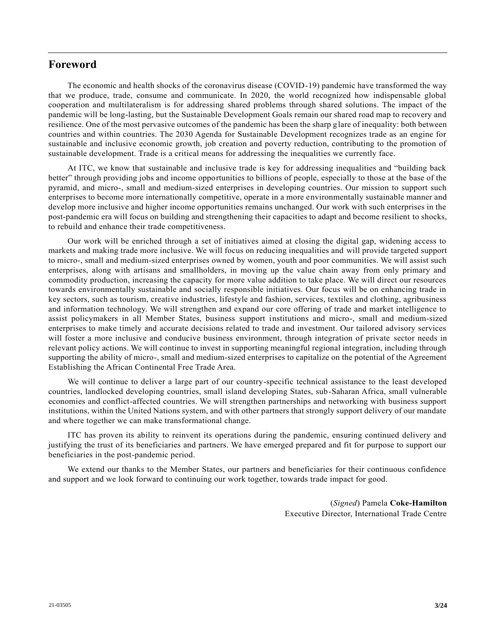# **Foreword**

The economic and health shocks of the coronavirus disease (COVID-19) pandemic have transformed the way that we produce, trade, consume and communicate. In 2020, the world recognized how indispensable global cooperation and multilateralism is for addressing shared problems through shared solutions. The impact of the pandemic will be long-lasting, but the Sustainable Development Goals remain our shared road map to recovery and resilience. One of the most pervasive outcomes of the pandemic has been the sharp glare of inequality: both between countries and within countries. The 2030 Agenda for Sustainable Development recognizes trade as an engine for sustainable and inclusive economic growth, job creation and poverty reduction, contributing to the promotion of sustainable development. Trade is a critical means for addressing the inequalities we currently face.

At ITC, we know that sustainable and inclusive trade is key for addressing inequalities and "building back better" through providing jobs and income opportunities to billions of people, especially to those at the base of the pyramid, and micro-, small and medium-sized enterprises in developing countries. Our mission to support such enterprises to become more internationally competitive, operate in a more environmentally sustainable manner and develop more inclusive and higher income opportunities remains unchanged. Our work with such enterprises in the post-pandemic era will focus on building and strengthening their capacities to adapt and become resilient to shocks, to rebuild and enhance their trade competitiveness.

Our work will be enriched through a set of initiatives aimed at closing the digital gap, widening access to markets and making trade more inclusive. We will focus on reducing inequalities and will provide targeted support to micro-, small and medium-sized enterprises owned by women, youth and poor communities. We will assist such enterprises, along with artisans and smallholders, in moving up the value chain away from only primary and commodity production, increasing the capacity for more value addition to take place. We will direct our resources towards environmentally sustainable and socially responsible initiatives. Our focus will be on enhancing trade in key sectors, such as tourism, creative industries, lifestyle and fashion, services, textiles and clothing, agribusiness and information technology. We will strengthen and expand our core offering of trade and market intelligence to assist policymakers in all Member States, business support institutions and micro-, small and medium-sized enterprises to make timely and accurate decisions related to trade and investment. Our tailored advisory services will foster a more inclusive and conducive business environment, through integration of private sector needs in relevant policy actions. We will continue to invest in supporting meaningful regional integration, including through supporting the ability of micro-, small and medium-sized enterprises to capitalize on the potential of the Agreement Establishing the African Continental Free Trade Area.

We will continue to deliver a large part of our country-specific technical assistance to the least developed countries, landlocked developing countries, small island developing States, sub-Saharan Africa, small vulnerable economies and conflict-affected countries. We will strengthen partnerships and networking with business support institutions, within the United Nations system, and with other partners that strongly support delivery of our mandate and where together we can make transformational change.

ITC has proven its ability to reinvent its operations during the pandemic, ensuring continued delivery and justifying the trust of its beneficiaries and partners. We have emerged prepared and fit for purpose to support our beneficiaries in the post-pandemic period.

We extend our thanks to the Member States, our partners and beneficiaries for their continuous confidence and support and we look forward to continuing our work together, towards trade impact for good.

> (*Signed*) Pamela **Coke-Hamilton** Executive Director, International Trade Centre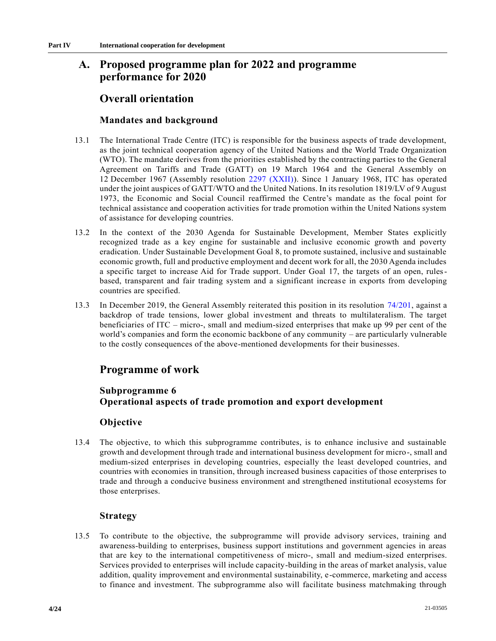# **A. Proposed programme plan for 2022 and programme performance for 2020**

# **Overall orientation**

# **Mandates and background**

- 13.1 The International Trade Centre (ITC) is responsible for the business aspects of trade development, as the joint technical cooperation agency of the United Nations and the World Trade Organization (WTO). The mandate derives from the priorities established by the contracting parties to the General Agreement on Tariffs and Trade (GATT) on 19 March 1964 and the General Assembly on 12 December 1967 (Assembly resolution [2297 \(XXII\)\)](https://undocs.org/en/A/RES/2297(XXII)). Since 1 January 1968, ITC has operated under the joint auspices of GATT/WTO and the United Nations. In its resolution 1819/LV of 9 August 1973, the Economic and Social Council reaffirmed the Centre's mandate as the focal point for technical assistance and cooperation activities for trade promotion within the United Nations system of assistance for developing countries.
- 13.2 In the context of the 2030 Agenda for Sustainable Development, Member States explicitly recognized trade as a key engine for sustainable and inclusive economic growth and poverty eradication. Under Sustainable Development Goal 8, to promote sustained, inclusive and sustainable economic growth, full and productive employment and decent work for all, the 2030 Agenda includes a specific target to increase Aid for Trade support. Under Goal 17, the targets of an open, rulesbased, transparent and fair trading system and a significant increase in exports from developing countries are specified.
- 13.3 In December 2019, the General Assembly reiterated this position in its resolution [74/201,](https://undocs.org/en/A/RES/74/201) against a backdrop of trade tensions, lower global investment and threats to multilateralism. The target beneficiaries of ITC – micro-, small and medium-sized enterprises that make up 99 per cent of the world's companies and form the economic backbone of any community – are particularly vulnerable to the costly consequences of the above-mentioned developments for their businesses.

# **Programme of work**

# **Subprogramme 6 Operational aspects of trade promotion and export development**

# **Objective**

13.4 The objective, to which this subprogramme contributes, is to enhance inclusive and sustainable growth and development through trade and international business development for micro-, small and medium-sized enterprises in developing countries, especially the least developed countries, and countries with economies in transition, through increased business capacities of those enterprises to trade and through a conducive business environment and strengthened institutional ecosystems for those enterprises.

# **Strategy**

13.5 To contribute to the objective, the subprogramme will provide advisory services, training and awareness-building to enterprises, business support institutions and government agencies in areas that are key to the international competitiveness of micro-, small and medium-sized enterprises. Services provided to enterprises will include capacity-building in the areas of market analysis, value addition, quality improvement and environmental sustainability, e-commerce, marketing and access to finance and investment. The subprogramme also will facilitate business matchmaking through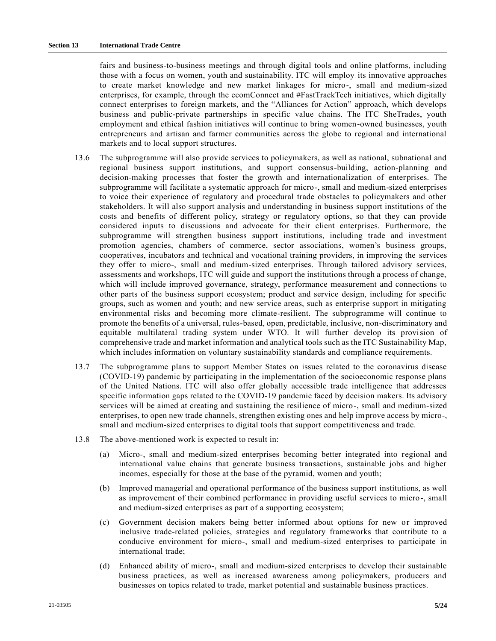fairs and business-to-business meetings and through digital tools and online platforms, including those with a focus on women, youth and sustainability. ITC will employ its innovative approaches to create market knowledge and new market linkages for micro-, small and medium-sized enterprises, for example, through the ecomConnect and #FastTrackTech initiatives, which digitally connect enterprises to foreign markets, and the "Alliances for Action" approach, which develops business and public-private partnerships in specific value chains. The ITC SheTrades, youth employment and ethical fashion initiatives will continue to bring women-owned businesses, youth entrepreneurs and artisan and farmer communities across the globe to regional and international markets and to local support structures.

- 13.6 The subprogramme will also provide services to policymakers, as well as national, subnational and regional business support institutions, and support consensus-building, action-planning and decision-making processes that foster the growth and internationalization of enterprises. The subprogramme will facilitate a systematic approach for micro-, small and medium-sized enterprises to voice their experience of regulatory and procedural trade obstacles to policymakers and other stakeholders. It will also support analysis and understanding in business support institutions of the costs and benefits of different policy, strategy or regulatory options, so that they can provide considered inputs to discussions and advocate for their client enterprises. Furthermore, the subprogramme will strengthen business support institutions, including trade and investment promotion agencies, chambers of commerce, sector associations, women's business groups, cooperatives, incubators and technical and vocational training providers, in improving the services they offer to micro-, small and medium-sized enterprises. Through tailored advisory services, assessments and workshops, ITC will guide and support the institutions through a process of change, which will include improved governance, strategy, performance measurement and connections to other parts of the business support ecosystem; product and service design, including for specific groups, such as women and youth; and new service areas, such as enterprise support in mitigating environmental risks and becoming more climate-resilient. The subprogramme will continue to promote the benefits of a universal, rules-based, open, predictable, inclusive, non-discriminatory and equitable multilateral trading system under WTO. It will further develop its provision of comprehensive trade and market information and analytical tools such as the ITC Sustainability Map, which includes information on voluntary sustainability standards and compliance requirements.
- 13.7 The subprogramme plans to support Member States on issues related to the coronavirus disease (COVID-19) pandemic by participating in the implementation of the socioeconomic response plans of the United Nations. ITC will also offer globally accessible trade intelligence that addresses specific information gaps related to the COVID-19 pandemic faced by decision makers. Its advisory services will be aimed at creating and sustaining the resilience of micro-, small and medium-sized enterprises, to open new trade channels, strengthen existing ones and help improve access by micro-, small and medium-sized enterprises to digital tools that support competitiveness and trade.
- 13.8 The above-mentioned work is expected to result in:
	- (a) Micro-, small and medium-sized enterprises becoming better integrated into regional and international value chains that generate business transactions, sustainable jobs and higher incomes, especially for those at the base of the pyramid, women and youth;
	- (b) Improved managerial and operational performance of the business support institutions, as well as improvement of their combined performance in providing useful services to micro-, small and medium-sized enterprises as part of a supporting ecosystem;
	- (c) Government decision makers being better informed about options for new or improved inclusive trade-related policies, strategies and regulatory frameworks that contribute to a conducive environment for micro-, small and medium-sized enterprises to participate in international trade;
	- (d) Enhanced ability of micro-, small and medium-sized enterprises to develop their sustainable business practices, as well as increased awareness among policymakers, producers and businesses on topics related to trade, market potential and sustainable business practices.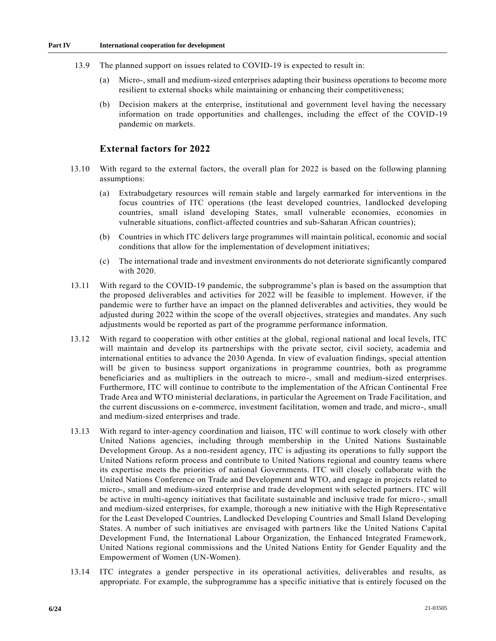- 13.9 The planned support on issues related to COVID-19 is expected to result in:
	- (a) Micro-, small and medium-sized enterprises adapting their business operations to become more resilient to external shocks while maintaining or enhancing their competitiveness;
	- (b) Decision makers at the enterprise, institutional and government level having the necessary information on trade opportunities and challenges, including the effect of the COVID-19 pandemic on markets.

### **External factors for 2022**

- 13.10 With regard to the external factors, the overall plan for 2022 is based on the following planning assumptions:
	- (a) Extrabudgetary resources will remain stable and largely earmarked for interventions in the focus countries of ITC operations (the least developed countries, landlocked developing countries, small island developing States, small vulnerable economies, economies in vulnerable situations, conflict-affected countries and sub-Saharan African countries);
	- (b) Countries in which ITC delivers large programmes will maintain political, economic and social conditions that allow for the implementation of development initiatives;
	- (c) The international trade and investment environments do not deteriorate significantly compared with 2020.
- 13.11 With regard to the COVID-19 pandemic, the subprogramme's plan is based on the assumption that the proposed deliverables and activities for 2022 will be feasible to implement. However, if the pandemic were to further have an impact on the planned deliverables and activities, they would be adjusted during 2022 within the scope of the overall objectives, strategies and mandates. Any such adjustments would be reported as part of the programme performance information.
- 13.12 With regard to cooperation with other entities at the global, regional national and local levels, ITC will maintain and develop its partnerships with the private sector, civil society, academia and international entities to advance the 2030 Agenda. In view of evaluation findings, special attention will be given to business support organizations in programme countries, both as programme beneficiaries and as multipliers in the outreach to micro-, small and medium-sized enterprises. Furthermore, ITC will continue to contribute to the implementation of the African Continental Free Trade Area and WTO ministerial declarations, in particular the Agreement on Trade Facilitation, and the current discussions on e-commerce, investment facilitation, women and trade, and micro-, small and medium-sized enterprises and trade.
- 13.13 With regard to inter-agency coordination and liaison, ITC will continue to work closely with other United Nations agencies, including through membership in the United Nations Sustainable Development Group. As a non-resident agency, ITC is adjusting its operations to fully support the United Nations reform process and contribute to United Nations regional and country teams where its expertise meets the priorities of national Governments. ITC will closely collaborate with the United Nations Conference on Trade and Development and WTO, and engage in projects related to micro-, small and medium-sized enterprise and trade development with selected partners. ITC will be active in multi-agency initiatives that facilitate sustainable and inclusive trade for micro-, small and medium-sized enterprises, for example, thorough a new initiative with the High Representative for the Least Developed Countries, Landlocked Developing Countries and Small Island Developing States. A number of such initiatives are envisaged with partners like the United Nations Capital Development Fund, the International Labour Organization, the Enhanced Integrated Framework, United Nations regional commissions and the United Nations Entity for Gender Equality and the Empowerment of Women (UN-Women).
- 13.14 ITC integrates a gender perspective in its operational activities, deliverables and results, as appropriate. For example, the subprogramme has a specific initiative that is entirely focused on the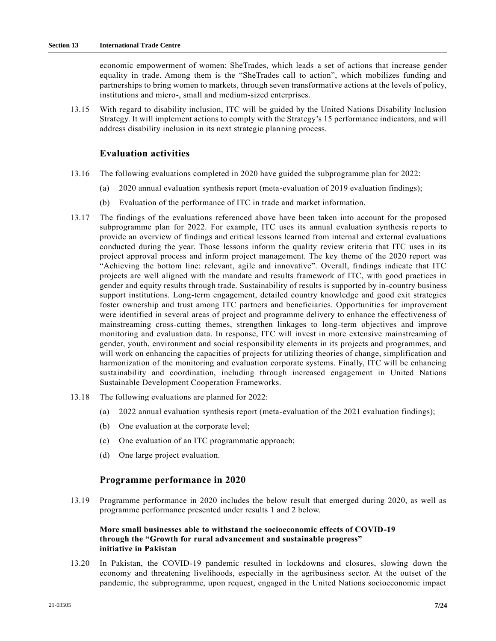economic empowerment of women: SheTrades, which leads a set of actions that increase gender equality in trade. Among them is the "SheTrades call to action", which mobilizes funding and partnerships to bring women to markets, through seven transformative actions at the levels of policy, institutions and micro-, small and medium-sized enterprises.

13.15 With regard to disability inclusion, ITC will be guided by the United Nations Disability Inclusion Strategy. It will implement actions to comply with the Strategy's 15 performance indicators, and will address disability inclusion in its next strategic planning process.

## **Evaluation activities**

- 13.16 The following evaluations completed in 2020 have guided the subprogramme plan for 2022:
	- (a) 2020 annual evaluation synthesis report (meta-evaluation of 2019 evaluation findings);
	- (b) Evaluation of the performance of ITC in trade and market information.
- 13.17 The findings of the evaluations referenced above have been taken into account for the proposed subprogramme plan for 2022. For example, ITC uses its annual evaluation synthesis reports to provide an overview of findings and critical lessons learned from internal and external evaluations conducted during the year. Those lessons inform the quality review criteria that ITC uses in its project approval process and inform project management. The key theme of the 2020 report was "Achieving the bottom line: relevant, agile and innovative". Overall, findings indicate that ITC projects are well aligned with the mandate and results framework of ITC, with good practices in gender and equity results through trade. Sustainability of results is supported by in-country business support institutions. Long-term engagement, detailed country knowledge and good exit strategies foster ownership and trust among ITC partners and beneficiaries. Opportunities for improvement were identified in several areas of project and programme delivery to enhance the effectiveness of mainstreaming cross-cutting themes, strengthen linkages to long-term objectives and improve monitoring and evaluation data. In response, ITC will invest in more extensive mainstreaming of gender, youth, environment and social responsibility elements in its projects and programmes, and will work on enhancing the capacities of projects for utilizing theories of change, simplification and harmonization of the monitoring and evaluation corporate systems. Finally, ITC will be enhancing sustainability and coordination, including through increased engagement in United Nations Sustainable Development Cooperation Frameworks.
- 13.18 The following evaluations are planned for 2022:
	- (a) 2022 annual evaluation synthesis report (meta-evaluation of the 2021 evaluation findings);
	- (b) One evaluation at the corporate level;
	- (c) One evaluation of an ITC programmatic approach;
	- (d) One large project evaluation.

#### **Programme performance in 2020**

13.19 Programme performance in 2020 includes the below result that emerged during 2020, as well as programme performance presented under results 1 and 2 below.

### **More small businesses able to withstand the socioeconomic effects of COVID-19 through the "Growth for rural advancement and sustainable progress" initiative in Pakistan**

13.20 In Pakistan, the COVID-19 pandemic resulted in lockdowns and closures, slowing down the economy and threatening livelihoods, especially in the agribusiness sector. At the outset of the pandemic, the subprogramme, upon request, engaged in the United Nations socioeconomic impact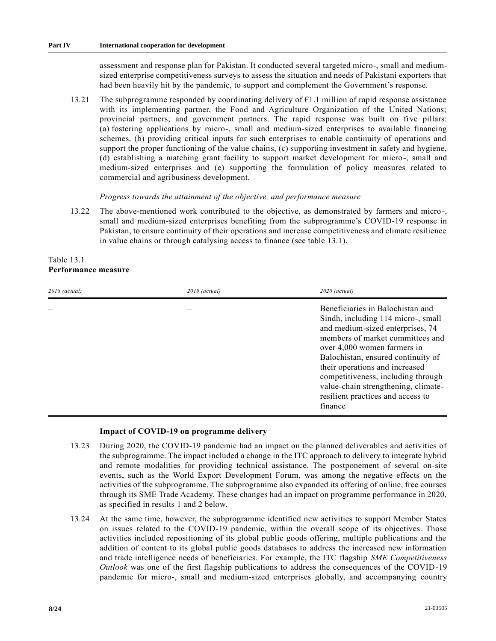assessment and response plan for Pakistan. It conducted several targeted micro-, small and mediumsized enterprise competitiveness surveys to assess the situation and needs of Pakistani exporters that had been heavily hit by the pandemic, to support and complement the Government's response.

13.21 The subprogramme responded by coordinating delivery of  $\epsilon$ 1.1 million of rapid response assistance with its implementing partner, the Food and Agriculture Organization of the United Nations; provincial partners; and government partners. The rapid response was built on five pillars: (a) fostering applications by micro-, small and medium-sized enterprises to available financing schemes, (b) providing critical inputs for such enterprises to enable continuity of operations and support the proper functioning of the value chains, (c) supporting investment in safety and hygiene, (d) establishing a matching grant facility to support market development for micro-, small and medium-sized enterprises and (e) supporting the formulation of policy measures related to commercial and agribusiness development.

#### *Progress towards the attainment of the objective, and performance measure*

13.22 The above-mentioned work contributed to the objective, as demonstrated by farmers and micro-, small and medium-sized enterprises benefiting from the subprogramme's COVID-19 response in Pakistan, to ensure continuity of their operations and increase competitiveness and climate resilience in value chains or through catalysing access to finance (see table 13.1).

## Table 13.1 **Performance measure**

| $2018$ (actual) | 2019 (actual) | $2020$ (actual)                                                                                                                                                                                                                                                                                                                                                                    |
|-----------------|---------------|------------------------------------------------------------------------------------------------------------------------------------------------------------------------------------------------------------------------------------------------------------------------------------------------------------------------------------------------------------------------------------|
|                 |               | Beneficiaries in Balochistan and<br>Sindh, including 114 micro-, small<br>and medium-sized enterprises, 74<br>members of market committees and<br>over 4,000 women farmers in<br>Balochistan, ensured continuity of<br>their operations and increased<br>competitiveness, including through<br>value-chain strengthening, climate-<br>resilient practices and access to<br>finance |

### **Impact of COVID-19 on programme delivery**

- 13.23 During 2020, the COVID-19 pandemic had an impact on the planned deliverables and activities of the subprogramme. The impact included a change in the ITC approach to delivery to integrate hybrid and remote modalities for providing technical assistance. The postponement of several on-site events, such as the World Export Development Forum, was among the negative effects on the activities of the subprogramme. The subprogramme also expanded its offering of online, free courses through its SME Trade Academy. These changes had an impact on programme performance in 2020, as specified in results 1 and 2 below.
- 13.24 At the same time, however, the subprogramme identified new activities to support Member States on issues related to the COVID-19 pandemic, within the overall scope of its objectives. Those activities included repositioning of its global public goods offering, multiple publications and the addition of content to its global public goods databases to address the increased new information and trade intelligence needs of beneficiaries. For example, the ITC flagship *SME Competitiveness Outlook* was one of the first flagship publications to address the consequences of the COVID-19 pandemic for micro-, small and medium-sized enterprises globally, and accompanying country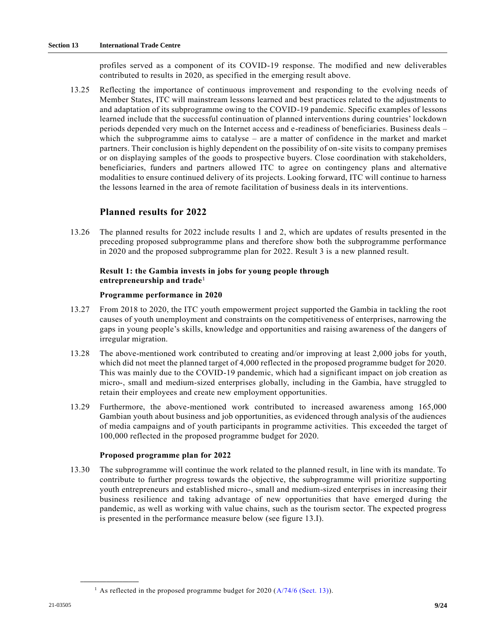profiles served as a component of its COVID-19 response. The modified and new deliverables contributed to results in 2020, as specified in the emerging result above.

13.25 Reflecting the importance of continuous improvement and responding to the evolving needs of Member States, ITC will mainstream lessons learned and best practices related to the adjustments to and adaptation of its subprogramme owing to the COVID-19 pandemic. Specific examples of lessons learned include that the successful continuation of planned interventions during countries' lockdown periods depended very much on the Internet access and e-readiness of beneficiaries. Business deals – which the subprogramme aims to catalyse – are a matter of confidence in the market and market partners. Their conclusion is highly dependent on the possibility of on-site visits to company premises or on displaying samples of the goods to prospective buyers. Close coordination with stakeholders, beneficiaries, funders and partners allowed ITC to agree on contingency plans and alternative modalities to ensure continued delivery of its projects. Looking forward, ITC will continue to harness the lessons learned in the area of remote facilitation of business deals in its interventions.

## **Planned results for 2022**

13.26 The planned results for 2022 include results 1 and 2, which are updates of results presented in the preceding proposed subprogramme plans and therefore show both the subprogramme performance in 2020 and the proposed subprogramme plan for 2022. Result 3 is a new planned result.

### **Result 1: the Gambia invests in jobs for young people through entrepreneurship and trade**<sup>1</sup>

#### **Programme performance in 2020**

- 13.27 From 2018 to 2020, the ITC youth empowerment project supported the Gambia in tackling the root causes of youth unemployment and constraints on the competitiveness of enterprises, narrowing the gaps in young people's skills, knowledge and opportunities and raising awareness of the dangers of irregular migration.
- 13.28 The above-mentioned work contributed to creating and/or improving at least 2,000 jobs for youth, which did not meet the planned target of 4,000 reflected in the proposed programme budget for 2020. This was mainly due to the COVID-19 pandemic, which had a significant impact on job creation as micro-, small and medium-sized enterprises globally, including in the Gambia, have struggled to retain their employees and create new employment opportunities.
- 13.29 Furthermore, the above-mentioned work contributed to increased awareness among 165,000 Gambian youth about business and job opportunities, as evidenced through analysis of the audiences of media campaigns and of youth participants in programme activities. This exceeded the target of 100,000 reflected in the proposed programme budget for 2020.

#### **Proposed programme plan for 2022**

13.30 The subprogramme will continue the work related to the planned result, in line with its mandate. To contribute to further progress towards the objective, the subprogramme will prioritize supporting youth entrepreneurs and established micro-, small and medium-sized enterprises in increasing their business resilience and taking advantage of new opportunities that have emerged during the pandemic, as well as working with value chains, such as the tourism sector. The expected progress is presented in the performance measure below (see figure 13.I).

**\_\_\_\_\_\_\_\_\_\_\_\_\_\_\_\_\_\_**

<sup>&</sup>lt;sup>1</sup> As reflected in the proposed programme budget for 2020 ( $A/74/6$  (Sect. 13)).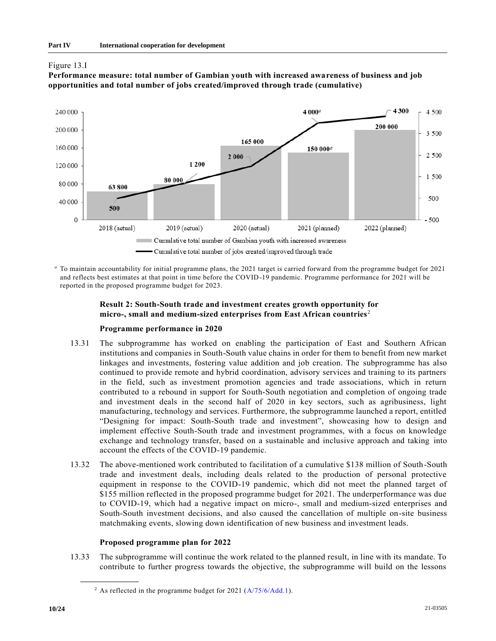





*<sup>a</sup>* To maintain accountability for initial programme plans, the 2021 target is carried forward from the programme budget for 2021 and reflects best estimates at that point in time before the COVID-19 pandemic. Programme performance for 2021 will be reported in the proposed programme budget for 2023.

## **Result 2: South-South trade and investment creates growth opportunity for micro-, small and medium-sized enterprises from East African countries**<sup>2</sup>

### **Programme performance in 2020**

- 13.31 The subprogramme has worked on enabling the participation of East and Southern African institutions and companies in South-South value chains in order for them to benefit from new market linkages and investments, fostering value addition and job creation. The subprogramme has also continued to provide remote and hybrid coordination, advisory services and training to its partners in the field, such as investment promotion agencies and trade associations, which in return contributed to a rebound in support for South-South negotiation and completion of ongoing trade and investment deals in the second half of 2020 in key sectors, such as agribusiness, light manufacturing, technology and services. Furthermore, the subprogramme launched a report, entitled "Designing for impact: South-South trade and investment", showcasing how to design and implement effective South-South trade and investment programmes, with a focus on knowledge exchange and technology transfer, based on a sustainable and inclusive approach and taking into account the effects of the COVID-19 pandemic.
- 13.32 The above-mentioned work contributed to facilitation of a cumulative \$138 million of South-South trade and investment deals, including deals related to the production of personal protective equipment in response to the COVID-19 pandemic, which did not meet the planned target of \$155 million reflected in the proposed programme budget for 2021. The underperformance was due to COVID-19, which had a negative impact on micro-, small and medium-sized enterprises and South-South investment decisions, and also caused the cancellation of multiple on-site business matchmaking events, slowing down identification of new business and investment leads.

### **Proposed programme plan for 2022**

13.33 The subprogramme will continue the work related to the planned result, in line with its mandate. To contribute to further progress towards the objective, the subprogramme will build on the lessons

**\_\_\_\_\_\_\_\_\_\_\_\_\_\_\_\_\_\_**

<sup>&</sup>lt;sup>2</sup> As reflected in the programme budget for 2021  $(A/75/6/Add.1)$ .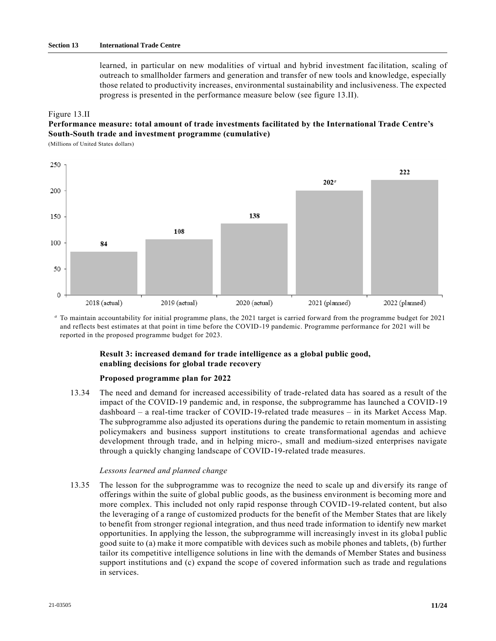learned, in particular on new modalities of virtual and hybrid investment facilitation, scaling of outreach to smallholder farmers and generation and transfer of new tools and knowledge, especially those related to productivity increases, environmental sustainability and inclusiveness. The expected progress is presented in the performance measure below (see figure 13.II).

#### Figure 13.II

## **Performance measure: total amount of trade investments facilitated by the International Trade Centre's South-South trade and investment programme (cumulative)**

(Millions of United States dollars)



*<sup>a</sup>* To maintain accountability for initial programme plans, the 2021 target is carried forward from the programme budget for 2021 and reflects best estimates at that point in time before the COVID-19 pandemic. Programme performance for 2021 will be reported in the proposed programme budget for 2023.

## **Result 3: increased demand for trade intelligence as a global public good, enabling decisions for global trade recovery**

#### **Proposed programme plan for 2022**

13.34 The need and demand for increased accessibility of trade-related data has soared as a result of the impact of the COVID-19 pandemic and, in response, the subprogramme has launched a COVID-19 dashboard – a real-time tracker of COVID-19-related trade measures – in its Market Access Map. The subprogramme also adjusted its operations during the pandemic to retain momentum in assisting policymakers and business support institutions to create transformational agendas and achieve development through trade, and in helping micro-, small and medium-sized enterprises navigate through a quickly changing landscape of COVID-19-related trade measures.

#### *Lessons learned and planned change*

13.35 The lesson for the subprogramme was to recognize the need to scale up and diversify its range of offerings within the suite of global public goods, as the business environment is becoming more and more complex. This included not only rapid response through COVID-19-related content, but also the leveraging of a range of customized products for the benefit of the Member States that are likely to benefit from stronger regional integration, and thus need trade information to identify new market opportunities. In applying the lesson, the subprogramme will increasingly invest in its globa l public good suite to (a) make it more compatible with devices such as mobile phones and tablets, (b) further tailor its competitive intelligence solutions in line with the demands of Member States and business support institutions and (c) expand the scope of covered information such as trade and regulations in services.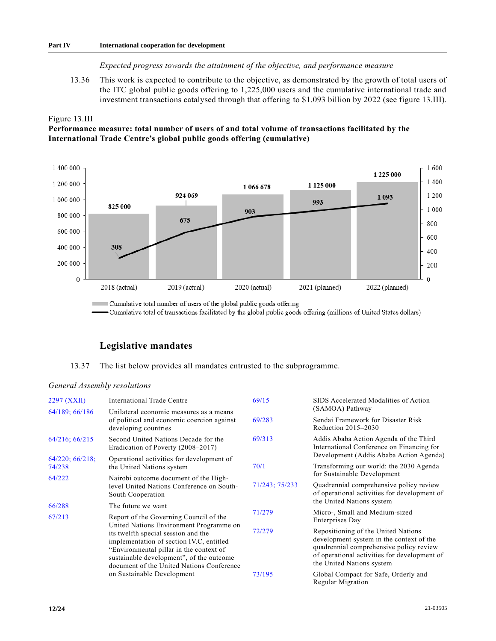### **Part IV International cooperation for development**

#### *Expected progress towards the attainment of the objective, and performance measure*

13.36 This work is expected to contribute to the objective, as demonstrated by the growth of total users of the ITC global public goods offering to 1,225,000 users and the cumulative international trade and investment transactions catalysed through that offering to \$1.093 billion by 2022 (see figure 13.III).

#### Figure 13.III

**Performance measure: total number of users of and total volume of transactions facilitated by the International Trade Centre's global public goods offering (cumulative)**



Cumulative total number of users of the global public goods offering

- Cumulative total of transactions facilitated by the global public goods offering (millions of United States dollars)

## **Legislative mandates**

13.37 The list below provides all mandates entrusted to the subprogramme.

#### *General Assembly resolutions*

| 2297 (XXII)                                                    | <b>International Trade Centre</b>                                                                                                                                                                                                                 | 69/15          | SIDS Accelerated Modalities of Action                                                                                                                                                                   |  |  |
|----------------------------------------------------------------|---------------------------------------------------------------------------------------------------------------------------------------------------------------------------------------------------------------------------------------------------|----------------|---------------------------------------------------------------------------------------------------------------------------------------------------------------------------------------------------------|--|--|
| 64/189; 66/186                                                 | Unilateral economic measures as a means                                                                                                                                                                                                           |                | (SAMOA) Pathway                                                                                                                                                                                         |  |  |
|                                                                | of political and economic coercion against<br>developing countries                                                                                                                                                                                | 69/283         | Sendai Framework for Disaster Risk<br>Reduction $2015-2030$                                                                                                                                             |  |  |
| 64/216; 66/215                                                 | Second United Nations Decade for the<br>Eradication of Poverty (2008-2017)                                                                                                                                                                        | 69/313         | Addis Ababa Action Agenda of the Third<br>International Conference on Financing for                                                                                                                     |  |  |
| $64/220$ ; $66/218$ ;                                          | Operational activities for development of                                                                                                                                                                                                         |                | Development (Addis Ababa Action Agenda)                                                                                                                                                                 |  |  |
| 74/238                                                         | the United Nations system                                                                                                                                                                                                                         | 70/1           | Transforming our world: the 2030 Agenda                                                                                                                                                                 |  |  |
| 64/222                                                         | Nairobi outcome document of the High-                                                                                                                                                                                                             |                | for Sustainable Development                                                                                                                                                                             |  |  |
| level United Nations Conference on South-<br>South Cooperation |                                                                                                                                                                                                                                                   | 71/243; 75/233 | Quadrennial comprehensive policy review<br>of operational activities for development of                                                                                                                 |  |  |
| 66/288                                                         | The future we want                                                                                                                                                                                                                                |                | the United Nations system                                                                                                                                                                               |  |  |
| 67/213                                                         | Report of the Governing Council of the<br>United Nations Environment Programme on                                                                                                                                                                 | 71/279         | Micro-, Small and Medium-sized<br>Enterprises Day                                                                                                                                                       |  |  |
|                                                                | its twelfth special session and the<br>implementation of section IV.C, entitled<br>"Environmental pillar in the context of<br>sustainable development", of the outcome<br>document of the United Nations Conference<br>on Sustainable Development | 72/279         | Repositioning of the United Nations<br>development system in the context of the<br>quadrennial comprehensive policy review<br>of operational activities for development of<br>the United Nations system |  |  |
|                                                                |                                                                                                                                                                                                                                                   | 73/195         | Global Compact for Safe, Orderly and<br>Regular Migration                                                                                                                                               |  |  |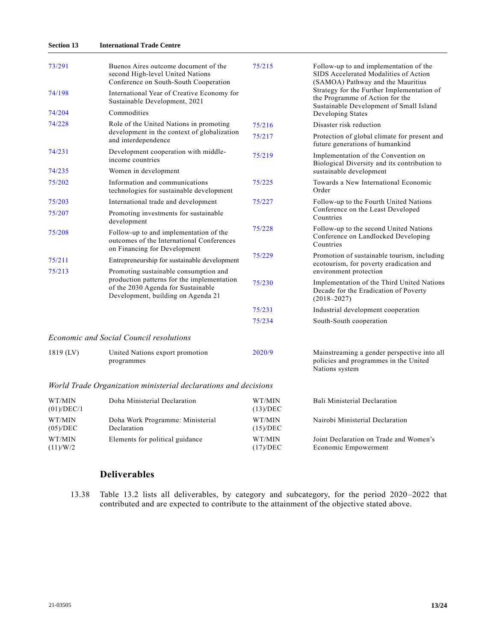#### **Section 13 International Trade Centre**

| 73/291               | Buenos Aires outcome document of the<br>second High-level United Nations<br>Conference on South-South Cooperation      | 75/215                         | Follow-up to and implementation of the<br>SIDS Accelerated Modalities of Action<br>(SAMOA) Pathway and the Mauritius     |
|----------------------|------------------------------------------------------------------------------------------------------------------------|--------------------------------|--------------------------------------------------------------------------------------------------------------------------|
| 74/198               | International Year of Creative Economy for<br>Sustainable Development, 2021                                            |                                | Strategy for the Further Implementation of<br>the Programme of Action for the<br>Sustainable Development of Small Island |
| 74/204               | Commodities                                                                                                            |                                | Developing States                                                                                                        |
| 74/228               | Role of the United Nations in promoting                                                                                | 75/216                         | Disaster risk reduction                                                                                                  |
|                      | development in the context of globalization<br>and interdependence                                                     | 75/217                         | Protection of global climate for present and<br>future generations of humankind                                          |
| 74/231               | Development cooperation with middle-<br>income countries                                                               | 75/219                         | Implementation of the Convention on<br>Biological Diversity and its contribution to                                      |
| 74/235               | Women in development                                                                                                   |                                | sustainable development                                                                                                  |
| 75/202               | Information and communications<br>technologies for sustainable development                                             | 75/225                         | Towards a New International Economic<br>Order                                                                            |
| 75/203               | International trade and development                                                                                    | 75/227                         | Follow-up to the Fourth United Nations                                                                                   |
| 75/207               | Promoting investments for sustainable<br>development                                                                   |                                | Conference on the Least Developed<br>Countries                                                                           |
| 75/208               | Follow-up to and implementation of the<br>outcomes of the International Conferences<br>on Financing for Development    | 75/228                         | Follow-up to the second United Nations<br>Conference on Landlocked Developing<br>Countries                               |
| 75/211               | Entrepreneurship for sustainable development                                                                           | 75/229                         | Promotion of sustainable tourism, including<br>ecotourism, for poverty eradication and                                   |
| 75/213               | Promoting sustainable consumption and                                                                                  |                                | environment protection                                                                                                   |
|                      | production patterns for the implementation<br>of the 2030 Agenda for Sustainable<br>Development, building on Agenda 21 | 75/230                         | Implementation of the Third United Nations<br>Decade for the Eradication of Poverty<br>$(2018 - 2027)$                   |
|                      |                                                                                                                        | 75/231                         | Industrial development cooperation                                                                                       |
|                      |                                                                                                                        | 75/234                         | South-South cooperation                                                                                                  |
|                      | <b>Economic and Social Council resolutions</b>                                                                         |                                |                                                                                                                          |
| 1819 (LV)            | United Nations export promotion<br>programmes                                                                          | 2020/9                         | Mainstreaming a gender perspective into all<br>policies and programmes in the United<br>Nations system                   |
|                      | World Trade Organization ministerial declarations and decisions                                                        |                                |                                                                                                                          |
| WT/MIN<br>(01)/DEC/1 | Doha Ministerial Declaration                                                                                           | WT/MIN<br>(13)/DEC             | Bali Ministerial Declaration                                                                                             |
| WT/MIN<br>(05)/DEC   | Doha Work Programme: Ministerial<br>Declaration                                                                        | WT/MIN<br>(15)/ <sub>DEC</sub> | Nairobi Ministerial Declaration                                                                                          |

# **Deliverables**

Elements for political guidance

13.38 Table 13.2 lists all deliverables, by category and subcategory, for the period 2020–2022 that contributed and are expected to contribute to the attainment of the objective stated above.

WT/MIN (17)/DEC

WT/MIN  $(11)/W/2$ 

Joint Declaration on Trade and Women's

Economic Empowerment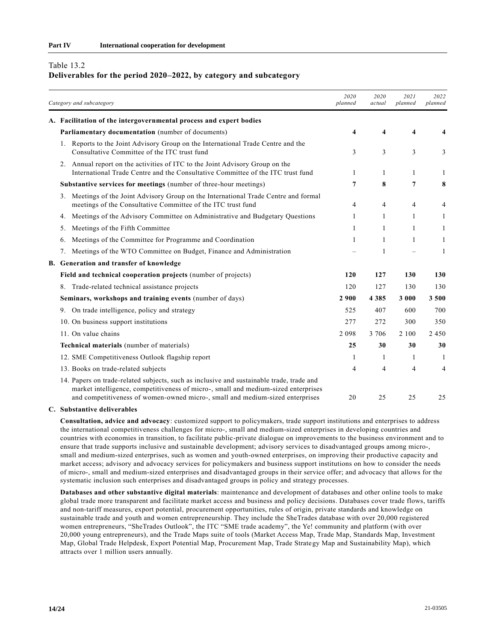#### Table 13.2

#### **Deliverables for the period 2020–2022, by category and subcategory**

| Category and subcategory                                                                                                                                                                                                                                        | 2020<br>planned         | 2020<br>actual | 2021<br>planned | 2022<br>planned |
|-----------------------------------------------------------------------------------------------------------------------------------------------------------------------------------------------------------------------------------------------------------------|-------------------------|----------------|-----------------|-----------------|
| A. Facilitation of the intergovernmental process and expert bodies                                                                                                                                                                                              |                         |                |                 |                 |
| Parliamentary documentation (number of documents)                                                                                                                                                                                                               | $\overline{\mathbf{4}}$ | 4              | 4               | 4               |
| Reports to the Joint Advisory Group on the International Trade Centre and the<br>1.<br>Consultative Committee of the ITC trust fund                                                                                                                             | 3                       | 3              | 3               | 3               |
| 2. Annual report on the activities of ITC to the Joint Advisory Group on the<br>International Trade Centre and the Consultative Committee of the ITC trust fund                                                                                                 | 1                       | 1              | 1               | 1               |
| Substantive services for meetings (number of three-hour meetings)                                                                                                                                                                                               | 7                       | 8              | 7               | 8               |
| Meetings of the Joint Advisory Group on the International Trade Centre and formal<br>3.<br>meetings of the Consultative Committee of the ITC trust fund                                                                                                         | 4                       | $\overline{4}$ | 4               | 4               |
| Meetings of the Advisory Committee on Administrative and Budgetary Questions<br>4.                                                                                                                                                                              | $\mathbf{1}$            | $\mathbf{1}$   | 1               | 1               |
| Meetings of the Fifth Committee<br>5.                                                                                                                                                                                                                           | $\mathbf{1}$            | $\mathbf{1}$   | 1               | 1               |
| Meetings of the Committee for Programme and Coordination<br>6.                                                                                                                                                                                                  | $\mathbf{1}$            | $\mathbf{1}$   | 1               | 1               |
| Meetings of the WTO Committee on Budget, Finance and Administration<br>7.                                                                                                                                                                                       |                         | 1              |                 | 1               |
| B. Generation and transfer of knowledge                                                                                                                                                                                                                         |                         |                |                 |                 |
| Field and technical cooperation projects (number of projects)                                                                                                                                                                                                   | 120                     | 127            | 130             | 130             |
| Trade-related technical assistance projects<br>8.                                                                                                                                                                                                               | 120                     | 127            | 130             | 130             |
| Seminars, workshops and training events (number of days)                                                                                                                                                                                                        | 2 9 0 0                 | 4 3 8 5        | 3 0 0 0         | 3 500           |
| 9. On trade intelligence, policy and strategy                                                                                                                                                                                                                   | 525                     | 407            | 600             | 700             |
| 10. On business support institutions                                                                                                                                                                                                                            | 277                     | 272            | 300             | 350             |
| 11. On value chains                                                                                                                                                                                                                                             | 2 0 9 8                 | 3 7 0 6        | 2 1 0 0         | 2 4 5 0         |
| Technical materials (number of materials)                                                                                                                                                                                                                       | 25                      | 30             | 30              | 30              |
| 12. SME Competitiveness Outlook flagship report                                                                                                                                                                                                                 | $\mathbf{1}$            | $\mathbf{1}$   | $\mathbf{1}$    | $\mathbf{1}$    |
| 13. Books on trade-related subjects                                                                                                                                                                                                                             | 4                       | 4              | $\overline{4}$  | 4               |
| 14. Papers on trade-related subjects, such as inclusive and sustainable trade, trade and<br>market intelligence, competitiveness of micro-, small and medium-sized enterprises<br>and competitiveness of women-owned micro-, small and medium-sized enterprises | 20                      | 25             | 25              | 25              |

#### **C. Substantive deliverables**

**Consultation, advice and advocacy**: customized support to policymakers, trade support institutions and enterprises to address the international competitiveness challenges for micro-, small and medium-sized enterprises in developing countries and countries with economies in transition, to facilitate public-private dialogue on improvements to the business environment and to ensure that trade supports inclusive and sustainable development; advisory services to disadvantaged groups among micro-, small and medium-sized enterprises, such as women and youth-owned enterprises, on improving their productive capacity and market access; advisory and advocacy services for policymakers and business support institutions on how to consider the needs of micro-, small and medium-sized enterprises and disadvantaged groups in their service offer; and advocacy that allows for the systematic inclusion such enterprises and disadvantaged groups in policy and strategy processes.

**Databases and other substantive digital materials**: maintenance and development of databases and other online tools to make global trade more transparent and facilitate market access and business and policy decisions. Databases cover trade flows, tariffs and non-tariff measures, export potential, procurement opportunities, rules of origin, private standards and knowledge on sustainable trade and youth and women entrepreneurship. They include the SheTrades database with over 20,000 registered women entrepreneurs, "SheTrades Outlook", the ITC "SME trade academy", the Ye! community and platform (with over 20,000 young entrepreneurs), and the Trade Maps suite of tools (Market Access Map, Trade Map, Standards Map, Investment Map, Global Trade Helpdesk, Export Potential Map, Procurement Map, Trade Strategy Map and Sustainability Map), which attracts over 1 million users annually.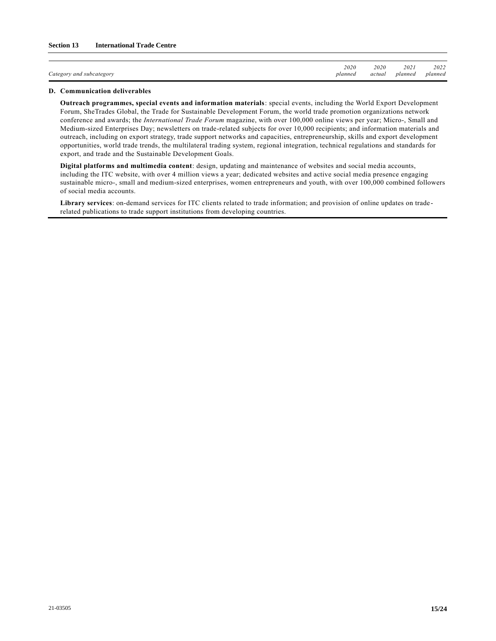|                                                              | 2020    | 2020   | 2021    | 2022    |
|--------------------------------------------------------------|---------|--------|---------|---------|
| $\sim$<br>and subcategory and<br>$\angle$ ategory<br>$\circ$ | planned | actual | plannea | planned |

#### **D. Communication deliverables**

**Outreach programmes, special events and information materials**: special events, including the World Export Development Forum, SheTrades Global, the Trade for Sustainable Development Forum, the world trade promotion organizations network conference and awards; the *International Trade Forum* magazine, with over 100,000 online views per year; Micro-, Small and Medium-sized Enterprises Day; newsletters on trade-related subjects for over 10,000 recipients; and information materials and outreach, including on export strategy, trade support networks and capacities, entrepreneurship, skills and export development opportunities, world trade trends, the multilateral trading system, regional integration, technical regulations and standards for export, and trade and the Sustainable Development Goals.

**Digital platforms and multimedia content**: design, updating and maintenance of websites and social media accounts, including the ITC website, with over 4 million views a year; dedicated websites and active social media presence engaging sustainable micro-, small and medium-sized enterprises, women entrepreneurs and youth, with over 100,000 combined followers of social media accounts.

**Library services**: on-demand services for ITC clients related to trade information; and provision of online updates on trade related publications to trade support institutions from developing countries.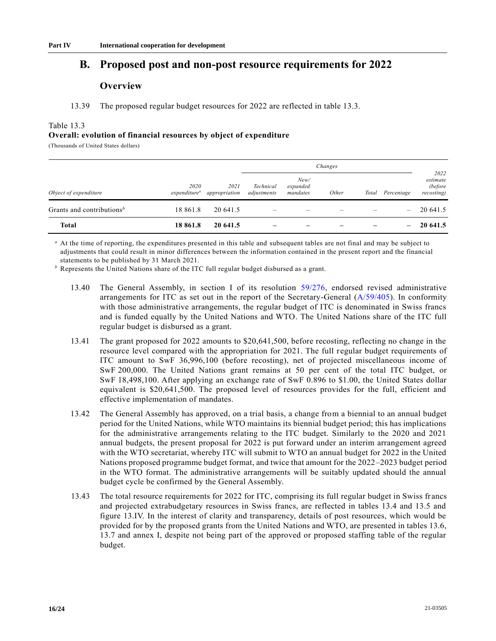# **B. Proposed post and non-post resource requirements for 2022**

## **Overview**

13.39 The proposed regular budget resources for 2022 are reflected in table 13.3.

#### Table 13.3

#### **Overall: evolution of financial resources by object of expenditure**

(Thousands of United States dollars)

|                                       |                                  |                       |                          |                              | Changes |       |                 |                                           |
|---------------------------------------|----------------------------------|-----------------------|--------------------------|------------------------------|---------|-------|-----------------|-------------------------------------------|
| Object of expenditure                 | 2020<br>expenditure <sup>a</sup> | 2021<br>appropriation | Technical<br>adjustments | New/<br>expanded<br>mandates | Other   | Total | Percentage      | 2022<br>estimate<br>(before<br>recosting) |
| Grants and contributions <sup>b</sup> | 18 861.8                         | 20 641.5              |                          |                              |         |       |                 | 20 641.5                                  |
| <b>Total</b>                          | 18 861.8                         | 20 641.5              | -                        | $\overline{\phantom{0}}$     |         |       | $\qquad \qquad$ | 20 641.5                                  |

*<sup>a</sup>* At the time of reporting, the expenditures presented in this table and subsequent tables are not final and may be subject to adjustments that could result in minor differences between the information contained in the present report and the financial statements to be published by 31 March 2021.

*<sup>b</sup>* Represents the United Nations share of the ITC full regular budget disbursed as a grant.

- 13.40 The General Assembly, in section I of its resolution [59/276,](https://undocs.org/en/A/RES/59/276) endorsed revised administrative arrangements for ITC as set out in the report of the Secretary-General [\(A/59/405\)](https://undocs.org/en/A/59/405). In conformity with those administrative arrangements, the regular budget of ITC is denominated in Swiss francs and is funded equally by the United Nations and WTO. The United Nations share of the ITC full regular budget is disbursed as a grant.
- 13.41 The grant proposed for 2022 amounts to \$20,641,500, before recosting, reflecting no change in the resource level compared with the appropriation for 2021. The full regular budget requirements of ITC amount to SwF 36,996,100 (before recosting), net of projected miscellaneous income of SwF 200,000. The United Nations grant remains at 50 per cent of the total ITC budget, or SwF 18,498,100. After applying an exchange rate of SwF 0.896 to \$1.00, the United States dollar equivalent is \$20,641,500. The proposed level of resources provides for the full, efficient and effective implementation of mandates.
- 13.42 The General Assembly has approved, on a trial basis, a change from a biennial to an annual budget period for the United Nations, while WTO maintains its biennial budget period; this has implications for the administrative arrangements relating to the ITC budget. Similarly to the 2020 and 2021 annual budgets, the present proposal for 2022 is put forward under an interim arrangement agreed with the WTO secretariat, whereby ITC will submit to WTO an annual budget for 2022 in the United Nations proposed programme budget format, and twice that amount for the 2022–2023 budget period in the WTO format. The administrative arrangements will be suitably updated should the annual budget cycle be confirmed by the General Assembly.
- 13.43 The total resource requirements for 2022 for ITC, comprising its full regular budget in Swiss francs and projected extrabudgetary resources in Swiss francs, are reflected in tables 13.4 and 13.5 and figure 13.IV. In the interest of clarity and transparency, details of post resources, which would be provided for by the proposed grants from the United Nations and WTO, are presented in tables 13.6, 13.7 and annex I, despite not being part of the approved or proposed staffing table of the regular budget.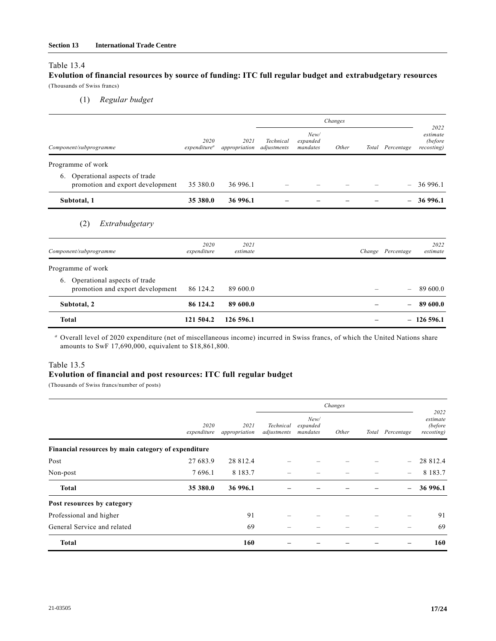#### Table 13.4

### **Evolution of financial resources by source of funding: ITC full regular budget and extrabudgetary resources** (Thousands of Swiss francs)

(1) *Regular budget*

|                                                                        |                                  |                       |                          |                              | Changes |        |                          |                                           |
|------------------------------------------------------------------------|----------------------------------|-----------------------|--------------------------|------------------------------|---------|--------|--------------------------|-------------------------------------------|
| Component/subprogramme                                                 | 2020<br>expenditure <sup>a</sup> | 2021<br>appropriation | Technical<br>adjustments | New/<br>expanded<br>mandates | Other   |        | Total Percentage         | 2022<br>estimate<br>(before<br>recosting) |
| Programme of work                                                      |                                  |                       |                          |                              |         |        |                          |                                           |
| Operational aspects of trade<br>6.<br>promotion and export development | 35 380.0                         | 36 996.1              |                          |                              |         |        | $\overline{\phantom{0}}$ | 36 996.1                                  |
| Subtotal, 1                                                            | 35 380.0                         | 36 996.1              |                          |                              |         |        |                          | 36 996.1                                  |
| (2)<br>Extrabudgetary                                                  |                                  |                       |                          |                              |         |        |                          |                                           |
| Component/subprogramme                                                 | 2020<br>expenditure              | 2021<br>estimate      |                          |                              |         | Change | Percentage               | 2022<br>estimate                          |
| Programme of work                                                      |                                  |                       |                          |                              |         |        |                          |                                           |
| Operational aspects of trade<br>6.<br>promotion and export development | 86 124.2                         | 89 600.0              |                          |                              |         |        | $\overline{\phantom{0}}$ | 89 600.0                                  |
| Subtotal, 2                                                            | 86 124.2                         | 89 600.0              |                          |                              |         |        |                          | 89 600.0                                  |
| <b>Total</b>                                                           | 121 504.2                        | 126 596.1             |                          |                              |         |        |                          | $-126596.1$                               |

*<sup>a</sup>* Overall level of 2020 expenditure (net of miscellaneous income) incurred in Swiss francs, of which the United Nations share amounts to SwF 17,690,000, equivalent to \$18,861,800.

#### Table 13.5

#### **Evolution of financial and post resources: ITC full regular budget**

(Thousands of Swiss francs/number of posts)

|                                                     | Changes             |                       |                          |                              |       |       |                          |                                           |
|-----------------------------------------------------|---------------------|-----------------------|--------------------------|------------------------------|-------|-------|--------------------------|-------------------------------------------|
|                                                     | 2020<br>expenditure | 2021<br>appropriation | Technical<br>adjustments | New/<br>expanded<br>mandates | Other | Total | Percentage               | 2022<br>estimate<br>(before<br>recosting) |
| Financial resources by main category of expenditure |                     |                       |                          |                              |       |       |                          |                                           |
| Post                                                | 27 683.9            | 28 812.4              |                          |                              |       |       |                          | 28 812.4                                  |
| Non-post                                            | 7696.1              | 8 1 8 3 . 7           |                          |                              |       |       |                          | 8 1 8 3 . 7                               |
| <b>Total</b>                                        | 35 380.0            | 36 996.1              |                          |                              |       |       | $\overline{\phantom{m}}$ | 36 996.1                                  |
| Post resources by category                          |                     |                       |                          |                              |       |       |                          |                                           |
| Professional and higher                             |                     | 91                    |                          |                              |       |       |                          | 91                                        |
| General Service and related                         |                     | 69                    |                          |                              |       |       |                          | 69                                        |
| <b>Total</b>                                        |                     | 160                   |                          |                              |       |       |                          | 160                                       |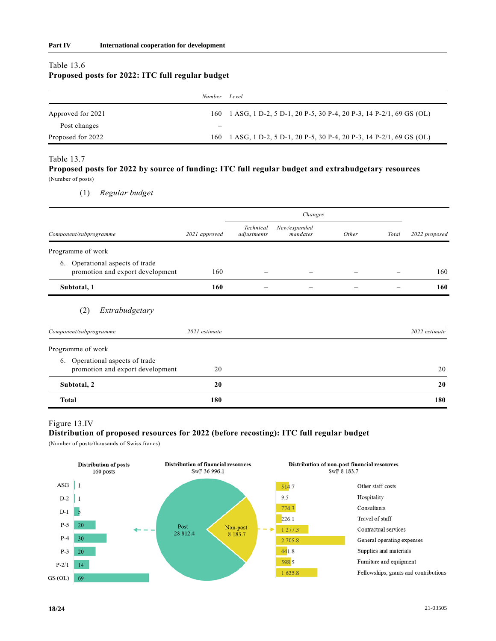#### Table 13.6

# **Proposed posts for 2022: ITC full regular budget**

|                   | Number Level |                                                                       |
|-------------------|--------------|-----------------------------------------------------------------------|
| Approved for 2021 |              | 160 1 ASG, 1 D-2, 5 D-1, 20 P-5, 30 P-4, 20 P-3, 14 P-2/1, 69 GS (OL) |
| Post changes      | —            |                                                                       |
| Proposed for 2022 |              | 160 1 ASG, 1 D-2, 5 D-1, 20 P-5, 30 P-4, 20 P-3, 14 P-2/1, 69 GS (OL) |

#### Table 13.7

#### **Proposed posts for 2022 by source of funding: ITC full regular budget and extrabudgetary resources** (Number of posts)

(1) *Regular budget*

|                                                                        |               |                          | Changes                  |       |       |               |
|------------------------------------------------------------------------|---------------|--------------------------|--------------------------|-------|-------|---------------|
| Component/subprogramme                                                 | 2021 approved | Technical<br>adjustments | New/expanded<br>mandates | Other | Total | 2022 proposed |
| Programme of work                                                      |               |                          |                          |       |       |               |
| Operational aspects of trade<br>6.<br>promotion and export development | 160           |                          |                          |       |       | 160           |
| Subtotal, 1                                                            | 160           |                          |                          |       |       | 160           |
| Extrabudgetary<br>(2)                                                  |               |                          |                          |       |       |               |
| Component/subprogramme                                                 | 2021 estimate |                          |                          |       |       | 2022 estimate |
| Programme of work                                                      |               |                          |                          |       |       |               |
| Operational aspects of trade<br>6.<br>promotion and export development | 20            |                          |                          |       |       | 20            |
| Subtotal, 2                                                            | 20            |                          |                          |       |       | 20            |
| <b>Total</b>                                                           | 180           |                          |                          |       |       | 180           |

### Figure 13.IV

#### **Distribution of proposed resources for 2022 (before recosting): ITC full regular budget**

(Number of posts/thousands of Swiss francs)

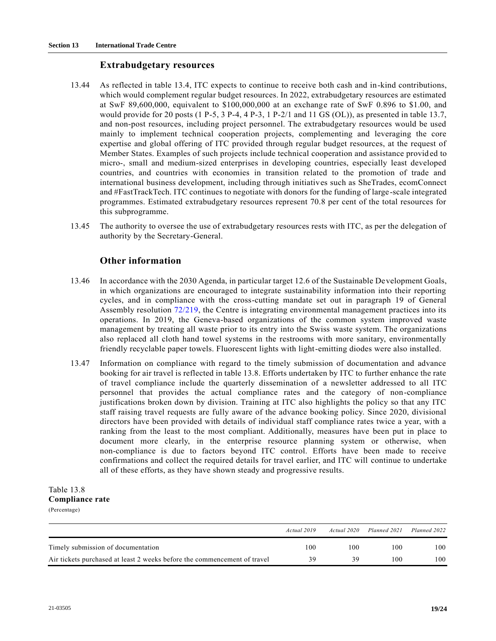### **Extrabudgetary resources**

- 13.44 As reflected in table 13.4, ITC expects to continue to receive both cash and in-kind contributions, which would complement regular budget resources. In 2022, extrabudgetary resources are estimated at SwF 89,600,000, equivalent to \$100,000,000 at an exchange rate of SwF 0.896 to \$1.00, and would provide for 20 posts (1 P-5, 3 P-4, 4 P-3, 1 P-2/1 and 11 GS (OL)), as presented in table 13.7, and non-post resources, including project personnel. The extrabudgetary resources would be used mainly to implement technical cooperation projects, complementing and leveraging the core expertise and global offering of ITC provided through regular budget resources, at the request of Member States. Examples of such projects include technical cooperation and assistance provid ed to micro-, small and medium-sized enterprises in developing countries, especially least developed countries, and countries with economies in transition related to the promotion of trade and international business development, including through initiatives such as SheTrades, ecomConnect and #FastTrackTech. ITC continues to negotiate with donors for the funding of large-scale integrated programmes. Estimated extrabudgetary resources represent 70.8 per cent of the total resources for this subprogramme.
- 13.45 The authority to oversee the use of extrabudgetary resources rests with ITC, as per the delegation of authority by the Secretary-General.

## **Other information**

- 13.46 In accordance with the 2030 Agenda, in particular target 12.6 of the Sustainable Development Goals, in which organizations are encouraged to integrate sustainability information into their reporting cycles, and in compliance with the cross-cutting mandate set out in paragraph 19 of General Assembly resolution [72/219,](https://undocs.org/en/A/RES/72/219) the Centre is integrating environmental management practices into its operations. In 2019, the Geneva-based organizations of the common system improved waste management by treating all waste prior to its entry into the Swiss waste system. The organizations also replaced all cloth hand towel systems in the restrooms with more sanitary, environmentally friendly recyclable paper towels. Fluorescent lights with light-emitting diodes were also installed.
- 13.47 Information on compliance with regard to the timely submission of documentation and advance booking for air travel is reflected in table 13.8. Efforts undertaken by ITC to further enhance the rate of travel compliance include the quarterly dissemination of a newsletter addressed to all ITC personnel that provides the actual compliance rates and the category of non-compliance justifications broken down by division. Training at ITC also highlights the policy so that any ITC staff raising travel requests are fully aware of the advance booking policy. Since 2020, divisional directors have been provided with details of individual staff compliance rates twice a year, with a ranking from the least to the most compliant. Additionally, measures have been put in place to document more clearly, in the enterprise resource planning system or otherwise, when non-compliance is due to factors beyond ITC control. Efforts have been made to receive confirmations and collect the required details for travel earlier, and ITC will continue to undertake all of these efforts, as they have shown steady and progressive results.

#### Table 13.8 **Compliance rate** (Percentage)

|                                                                          | Actual 2019 | Actual 2020 | Planned 2021 | Planned 2022 |
|--------------------------------------------------------------------------|-------------|-------------|--------------|--------------|
| Timely submission of documentation                                       | 100         | 100         | 100          | 100          |
| Air tickets purchased at least 2 weeks before the commencement of travel | 39          | 39          | 100          | 100          |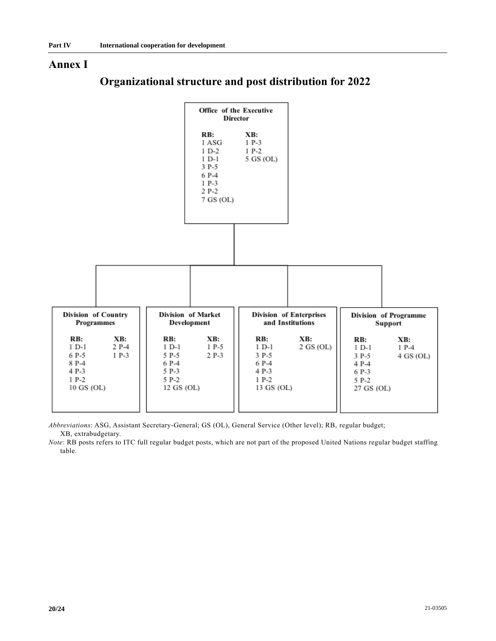## **Annex I**



# **Organizational structure and post distribution for 2022**

*Abbreviations*: ASG, Assistant Secretary-General; GS (OL), General Service (Other level); RB, regular budget; XB, extrabudgetary.

*Note*: RB posts refers to ITC full regular budget posts, which are not part of the proposed United Nations regular budget staffing table.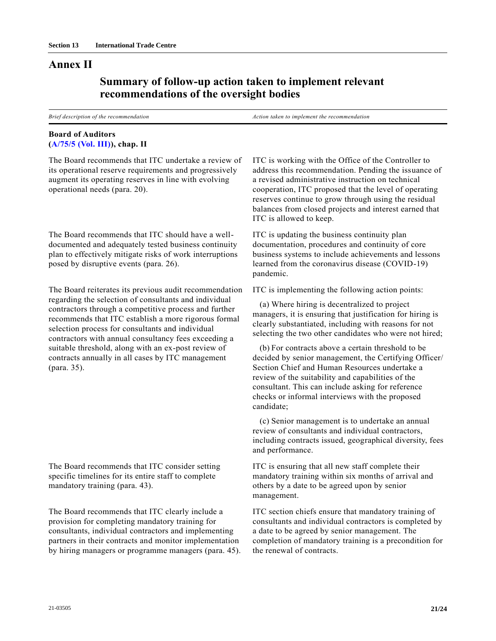## **Annex II**

# **Summary of follow-up action taken to implement relevant recommendations of the oversight bodies**

*Brief description of the recommendation Action taken to implement the recommendation*

## **Board of Auditors [\(A/75/5 \(Vol. III\)\)](https://undocs.org/en/A/75/5(Vol.III)), chap. II**

The Board recommends that ITC undertake a review of its operational reserve requirements and progressively augment its operating reserves in line with evolving operational needs (para. 20).

The Board recommends that ITC should have a welldocumented and adequately tested business continuity plan to effectively mitigate risks of work interruptions posed by disruptive events (para. 26).

The Board reiterates its previous audit recommendation regarding the selection of consultants and individual contractors through a competitive process and further recommends that ITC establish a more rigorous formal selection process for consultants and individual contractors with annual consultancy fees exceeding a suitable threshold, along with an ex-post review of contracts annually in all cases by ITC management (para. 35).

The Board recommends that ITC consider setting specific timelines for its entire staff to complete mandatory training (para. 43).

The Board recommends that ITC clearly include a provision for completing mandatory training for consultants, individual contractors and implementing partners in their contracts and monitor implementation by hiring managers or programme managers (para. 45). ITC is working with the Office of the Controller to address this recommendation. Pending the issuance of a revised administrative instruction on technical cooperation, ITC proposed that the level of operating reserves continue to grow through using the residual balances from closed projects and interest earned that ITC is allowed to keep.

ITC is updating the business continuity plan documentation, procedures and continuity of core business systems to include achievements and lessons learned from the coronavirus disease (COVID-19) pandemic.

ITC is implementing the following action points:

(a) Where hiring is decentralized to project managers, it is ensuring that justification for hiring is clearly substantiated, including with reasons for not selecting the two other candidates who were not hired;

(b) For contracts above a certain threshold to be decided by senior management, the Certifying Officer/ Section Chief and Human Resources undertake a review of the suitability and capabilities of the consultant. This can include asking for reference checks or informal interviews with the proposed candidate;

(c) Senior management is to undertake an annual review of consultants and individual contractors, including contracts issued, geographical diversity, fees and performance.

ITC is ensuring that all new staff complete their mandatory training within six months of arrival and others by a date to be agreed upon by senior management.

ITC section chiefs ensure that mandatory training of consultants and individual contractors is completed by a date to be agreed by senior management. The completion of mandatory training is a precondition for the renewal of contracts.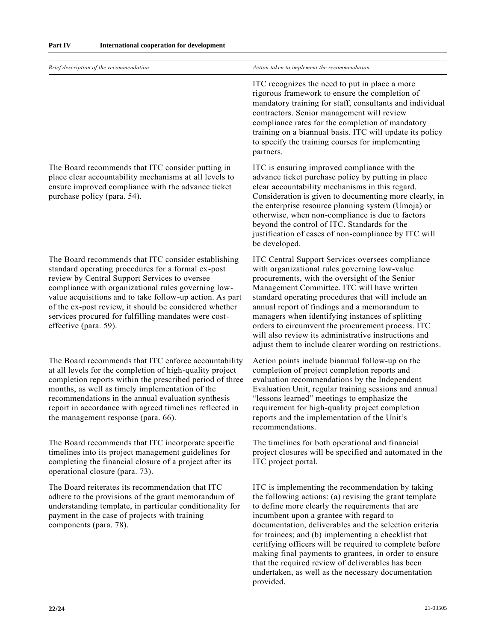| Brief description of the recommendation                                                                                                                                                                                                                                                                                                                                                                                  | Action taken to implement the recommendation                                                                                                                                                                                                                                                                                                                                                                                                                                                                                          |
|--------------------------------------------------------------------------------------------------------------------------------------------------------------------------------------------------------------------------------------------------------------------------------------------------------------------------------------------------------------------------------------------------------------------------|---------------------------------------------------------------------------------------------------------------------------------------------------------------------------------------------------------------------------------------------------------------------------------------------------------------------------------------------------------------------------------------------------------------------------------------------------------------------------------------------------------------------------------------|
|                                                                                                                                                                                                                                                                                                                                                                                                                          | ITC recognizes the need to put in place a more<br>rigorous framework to ensure the completion of<br>mandatory training for staff, consultants and individual<br>contractors. Senior management will review<br>compliance rates for the completion of mandatory<br>training on a biannual basis. ITC will update its policy<br>to specify the training courses for implementing<br>partners.                                                                                                                                           |
| The Board recommends that ITC consider putting in<br>place clear accountability mechanisms at all levels to<br>ensure improved compliance with the advance ticket<br>purchase policy (para. 54).                                                                                                                                                                                                                         | ITC is ensuring improved compliance with the<br>advance ticket purchase policy by putting in place<br>clear accountability mechanisms in this regard.<br>Consideration is given to documenting more clearly, in<br>the enterprise resource planning system (Umoja) or<br>otherwise, when non-compliance is due to factors<br>beyond the control of ITC. Standards for the<br>justification of cases of non-compliance by ITC will<br>be developed.                                                                                    |
| The Board recommends that ITC consider establishing<br>standard operating procedures for a formal ex-post<br>review by Central Support Services to oversee<br>compliance with organizational rules governing low-<br>value acquisitions and to take follow-up action. As part<br>of the ex-post review, it should be considered whether<br>services procured for fulfilling mandates were cost-<br>effective (para. 59). | ITC Central Support Services oversees compliance<br>with organizational rules governing low-value<br>procurements, with the oversight of the Senior<br>Management Committee. ITC will have written<br>standard operating procedures that will include an<br>annual report of findings and a memorandum to<br>managers when identifying instances of splitting<br>orders to circumvent the procurement process. ITC<br>will also review its administrative instructions and<br>adjust them to include clearer wording on restrictions. |
| The Board recommends that ITC enforce accountability<br>at all levels for the completion of high-quality project<br>completion reports within the prescribed period of three<br>months, as well as timely implementation of the<br>recommendations in the annual evaluation synthesis<br>report in accordance with agreed timelines reflected in<br>the management response (para. 66).                                  | Action points include biannual follow-up on the<br>completion of project completion reports and<br>evaluation recommendations by the Independent<br>Evaluation Unit, regular training sessions and annual<br>"lessons learned" meetings to emphasize the<br>requirement for high-quality project completion<br>reports and the implementation of the Unit's<br>recommendations.                                                                                                                                                       |
| The Board recommends that ITC incorporate specific<br>timelines into its project management guidelines for<br>completing the financial closure of a project after its<br>operational closure (para. 73).                                                                                                                                                                                                                 | The timelines for both operational and financial<br>project closures will be specified and automated in the<br>ITC project portal.                                                                                                                                                                                                                                                                                                                                                                                                    |
| The Board reiterates its recommendation that ITC<br>adhere to the provisions of the grant memorandum of<br>understanding template, in particular conditionality for<br>payment in the case of projects with training<br>components (para. 78).                                                                                                                                                                           | ITC is implementing the recommendation by taking<br>the following actions: (a) revising the grant template<br>to define more clearly the requirements that are<br>incumbent upon a grantee with regard to<br>documentation, deliverables and the selection criteria<br>for trainees; and (b) implementing a checklist that<br>certifying officers will be required to complete before<br>making final payments to grantees, in order to ensure<br>that the required review of deliverables has been                                   |

undertaken, as well as the necessary documentation

provided.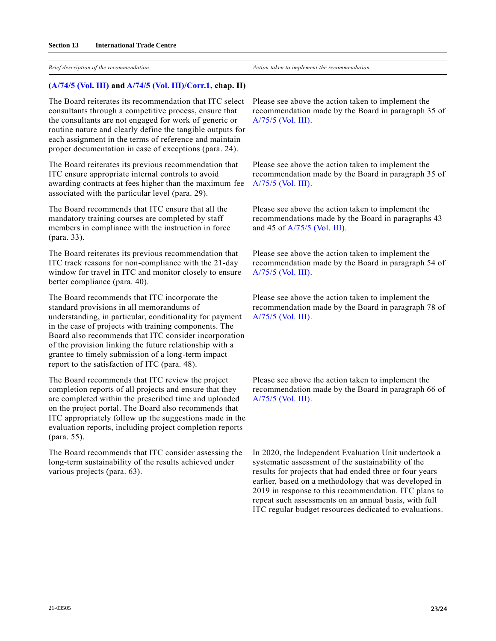*Brief description of the recommendation Action taken to implement the recommendation*

#### **[\(A/74/5 \(Vol. III\)](https://undocs.org/en/A/74/5(Vol.III)) an[d A/74/5 \(Vol. III\)/Corr.1,](https://undocs.org/en/A/74/5(Vol.III)/Corr.1) chap. II)**

The Board reiterates its recommendation that ITC select consultants through a competitive process, ensure that the consultants are not engaged for work of generic or routine nature and clearly define the tangible outputs for each assignment in the terms of reference and maintain proper documentation in case of exceptions (para. 24).

The Board reiterates its previous recommendation that ITC ensure appropriate internal controls to avoid awarding contracts at fees higher than the maximum fee associated with the particular level (para. 29).

The Board recommends that ITC ensure that all the mandatory training courses are completed by staff members in compliance with the instruction in force (para. 33).

The Board reiterates its previous recommendation that ITC track reasons for non-compliance with the 21-day window for travel in ITC and monitor closely to ensure better compliance (para. 40).

The Board recommends that ITC incorporate the standard provisions in all memorandums of understanding, in particular, conditionality for payment in the case of projects with training components. The Board also recommends that ITC consider incorporation of the provision linking the future relationship with a grantee to timely submission of a long-term impact report to the satisfaction of ITC (para. 48).

The Board recommends that ITC review the project completion reports of all projects and ensure that they are completed within the prescribed time and uploaded on the project portal. The Board also recommends that ITC appropriately follow up the suggestions made in the evaluation reports, including project completion reports (para. 55).

The Board recommends that ITC consider assessing the long-term sustainability of the results achieved under various projects (para. 63).

Please see above the action taken to implement the recommendation made by the Board in paragraph 35 of [A/75/5 \(Vol. III\).](https://undocs.org/en/A/75/5(Vol.III))

Please see above the action taken to implement the recommendation made by the Board in paragraph 35 of [A/75/5 \(Vol. III\).](https://undocs.org/en/A/75/5(Vol.III))

Please see above the action taken to implement the recommendations made by the Board in paragraphs 43 and 45 of [A/75/5 \(Vol. III\).](https://undocs.org/en/A/75/5(Vol.III))

Please see above the action taken to implement the recommendation made by the Board in paragraph 54 of [A/75/5 \(Vol. III\).](https://undocs.org/en/A/75/5(Vol.III))

Please see above the action taken to implement the recommendation made by the Board in paragraph 78 of [A/75/5 \(Vol. III\).](https://undocs.org/en/A/75/5(Vol.III))

Please see above the action taken to implement the recommendation made by the Board in paragraph 66 of [A/75/5 \(Vol. III\).](https://undocs.org/en/A/75/5(Vol.III))

In 2020, the Independent Evaluation Unit undertook a systematic assessment of the sustainability of the results for projects that had ended three or four years earlier, based on a methodology that was developed in 2019 in response to this recommendation. ITC plans to repeat such assessments on an annual basis, with full ITC regular budget resources dedicated to evaluations.